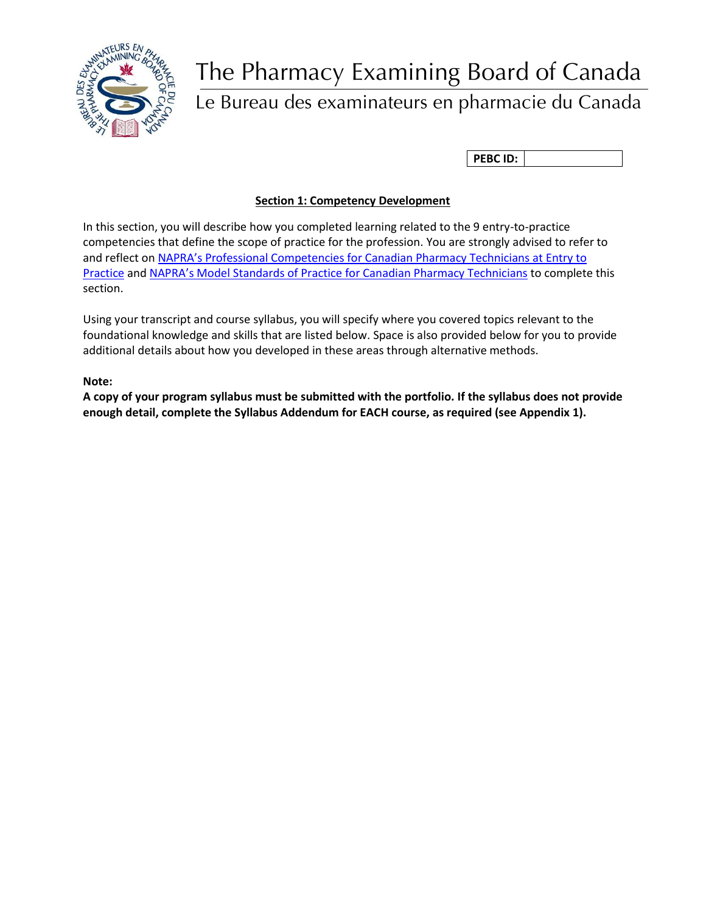

# The Pharmacy Examining Board of Canada

# Le Bureau des examinateurs en pharmacie du Canada

**PEBC ID:**

# **Section 1: Competency Development**

In this section, you will describe how you completed learning related to the 9 entry-to-practice competencies that define the scope of practice for the profession. You are strongly advised to refer to and reflect on [NAPRA's Professional Competencies for Canadian Pharmacy Technicians at Entry to](https://napra.ca/sites/default/files/2017-08/Comp_for_Cdn_PHARMTECHS_at_EntrytoPractice_March2014_b.pdf)  [Practice](https://napra.ca/sites/default/files/2017-08/Comp_for_Cdn_PHARMTECHS_at_EntrytoPractice_March2014_b.pdf) and [NAPRA's Model Standards of Practice for Can](https://napra.ca/pharmacy-technicians/model-standards-practice-canadian-pharmacy-technicians)adian Pharmacy Technicians to complete this section.

Using your transcript and course syllabus, you will specify where you covered topics relevant to the foundational knowledge and skills that are listed below. Space is also provided below for you to provide additional details about how you developed in these areas through alternative methods.

**Note:** 

**A copy of your program syllabus must be submitted with the portfolio. If the syllabus does not provide enough detail, complete the Syllabus Addendum for EACH course, as required (see Appendix 1).**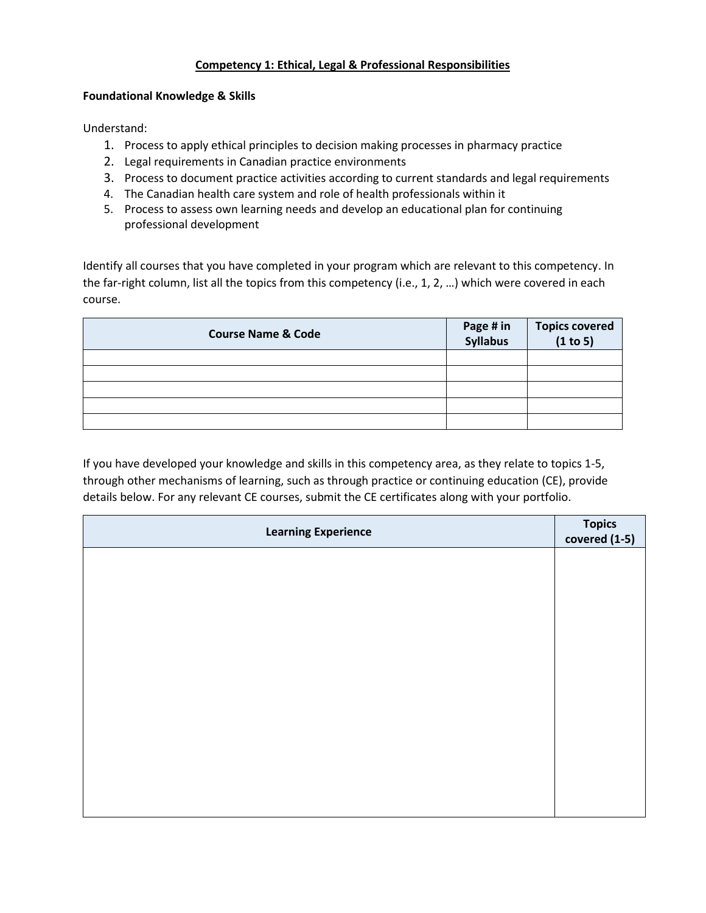# **Competency 1: Ethical, Legal & Professional Responsibilities**

#### **Foundational Knowledge & Skills**

Understand:

- 1. Process to apply ethical principles to decision making processes in pharmacy practice
- 2. Legal requirements in Canadian practice environments
- 3. Process to document practice activities according to current standards and legal requirements
- 4. The Canadian health care system and role of health professionals within it
- 5. Process to assess own learning needs and develop an educational plan for continuing professional development

Identify all courses that you have completed in your program which are relevant to this competency. In the far-right column, list all the topics from this competency (i.e., 1, 2, …) which were covered in each course.

| <b>Course Name &amp; Code</b> | Page # in<br>Syllabus | Topics covered<br>(1 to 5) |
|-------------------------------|-----------------------|----------------------------|
|                               |                       |                            |
|                               |                       |                            |
|                               |                       |                            |
|                               |                       |                            |
|                               |                       |                            |

| <b>Learning Experience</b> | Topics<br>covered (1-5) |
|----------------------------|-------------------------|
|                            |                         |
|                            |                         |
|                            |                         |
|                            |                         |
|                            |                         |
|                            |                         |
|                            |                         |
|                            |                         |
|                            |                         |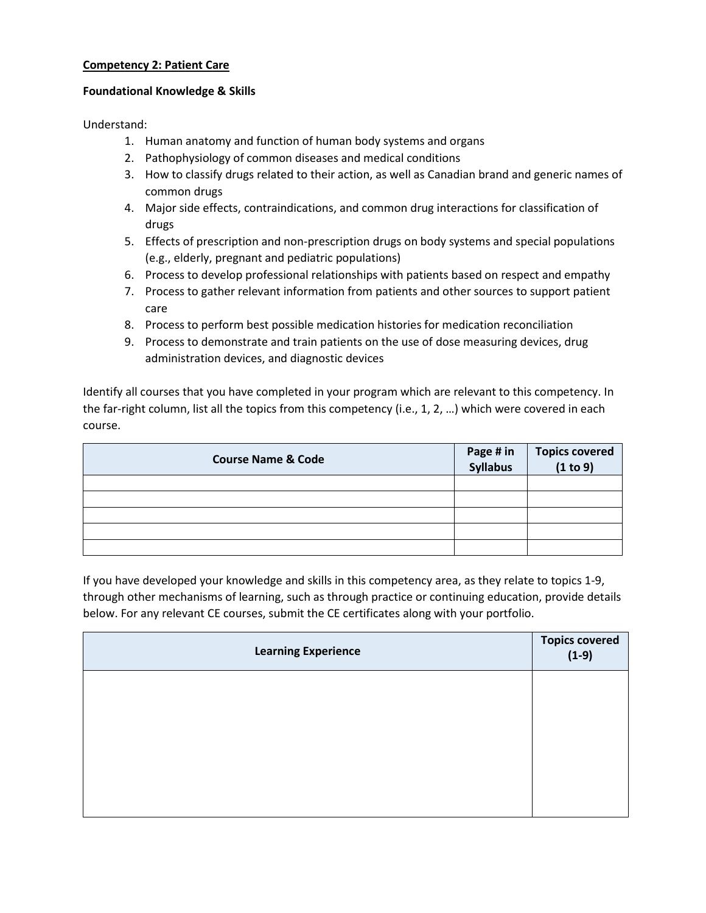#### **Competency 2: Patient Care**

#### **Foundational Knowledge & Skills**

Understand:

- 1. Human anatomy and function of human body systems and organs
- 2. Pathophysiology of common diseases and medical conditions
- 3. How to classify drugs related to their action, as well as Canadian brand and generic names of common drugs
- 4. Major side effects, contraindications, and common drug interactions for classification of drugs
- 5. Effects of prescription and non-prescription drugs on body systems and special populations (e.g., elderly, pregnant and pediatric populations)
- 6. Process to develop professional relationships with patients based on respect and empathy
- 7. Process to gather relevant information from patients and other sources to support patient care
- 8. Process to perform best possible medication histories for medication reconciliation
- 9. Process to demonstrate and train patients on the use of dose measuring devices, drug administration devices, and diagnostic devices

Identify all courses that you have completed in your program which are relevant to this competency. In the far-right column, list all the topics from this competency (i.e., 1, 2, …) which were covered in each course.

| <b>Course Name &amp; Code</b> | Page # in<br>Syllabus | Topics covered<br>(1 to 9) |
|-------------------------------|-----------------------|----------------------------|
|                               |                       |                            |
|                               |                       |                            |
|                               |                       |                            |
|                               |                       |                            |
|                               |                       |                            |

| <b>Learning Experience</b> | Topics covered<br>(1-9) |
|----------------------------|-------------------------|
|                            |                         |
|                            |                         |
|                            |                         |
|                            |                         |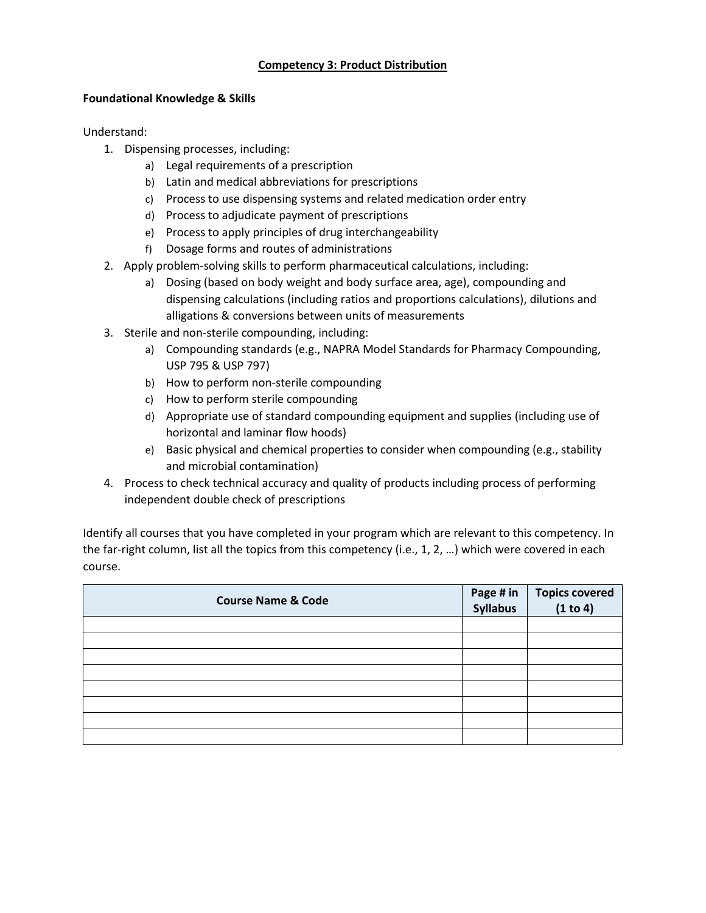#### **Competency 3: Product Distribution**

#### **Foundational Knowledge & Skills**

Understand:

- 1. Dispensing processes, including:
	- a) Legal requirements of a prescription
	- b) Latin and medical abbreviations for prescriptions
	- c) Process to use dispensing systems and related medication order entry
	- d) Process to adjudicate payment of prescriptions
	- e) Process to apply principles of drug interchangeability
	- f) Dosage forms and routes of administrations
- 2. Apply problem-solving skills to perform pharmaceutical calculations, including:
	- a) Dosing (based on body weight and body surface area, age), compounding and dispensing calculations (including ratios and proportions calculations), dilutions and alligations & conversions between units of measurements
- 3. Sterile and non-sterile compounding, including:
	- a) Compounding standards (e.g., NAPRA Model Standards for Pharmacy Compounding, USP 795 & USP 797)
	- b) How to perform non-sterile compounding
	- c) How to perform sterile compounding
	- d) Appropriate use of standard compounding equipment and supplies (including use of horizontal and laminar flow hoods)
	- e) Basic physical and chemical properties to consider when compounding (e.g., stability and microbial contamination)
- 4. Process to check technical accuracy and quality of products including process of performing independent double check of prescriptions

Identify all courses that you have completed in your program which are relevant to this competency. In the far-right column, list all the topics from this competency (i.e., 1, 2, …) which were covered in each course.

| <b>Course Name &amp; Code</b> | Page # in<br>Syllabus | Topics covered<br>(1 to 4) |
|-------------------------------|-----------------------|----------------------------|
|                               |                       |                            |
|                               |                       |                            |
|                               |                       |                            |
|                               |                       |                            |
|                               |                       |                            |
|                               |                       |                            |
|                               |                       |                            |
|                               |                       |                            |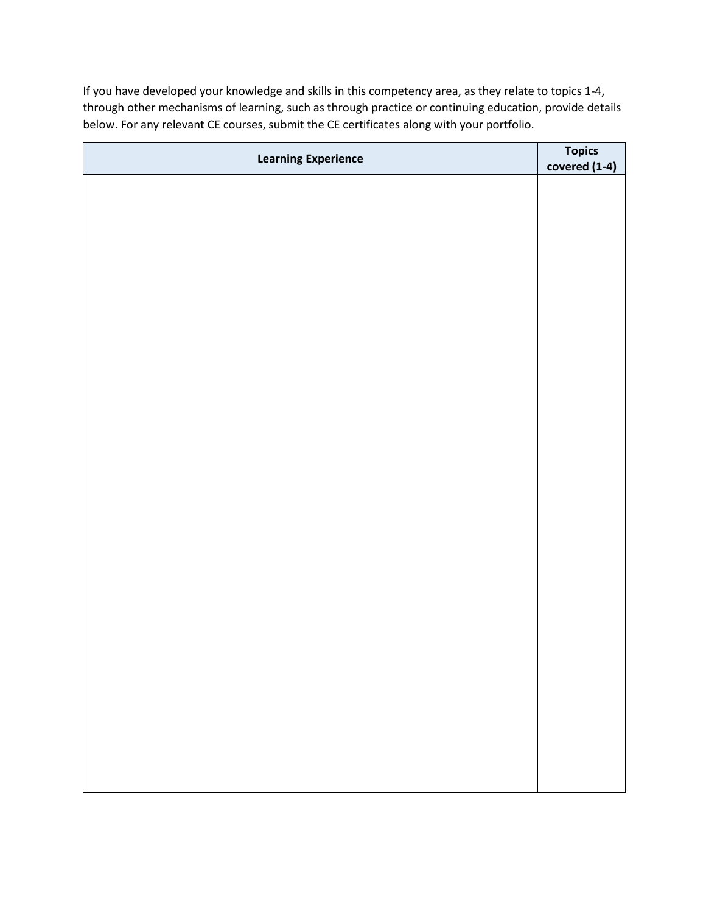| <b>Learning Experience</b> | Topics<br>covered (1-4) |
|----------------------------|-------------------------|
|                            |                         |
|                            |                         |
|                            |                         |
|                            |                         |
|                            |                         |
|                            |                         |
|                            |                         |
|                            |                         |
|                            |                         |
|                            |                         |
|                            |                         |
|                            |                         |
|                            |                         |
|                            |                         |
|                            |                         |
|                            |                         |
|                            |                         |
|                            |                         |
|                            |                         |
|                            |                         |
|                            |                         |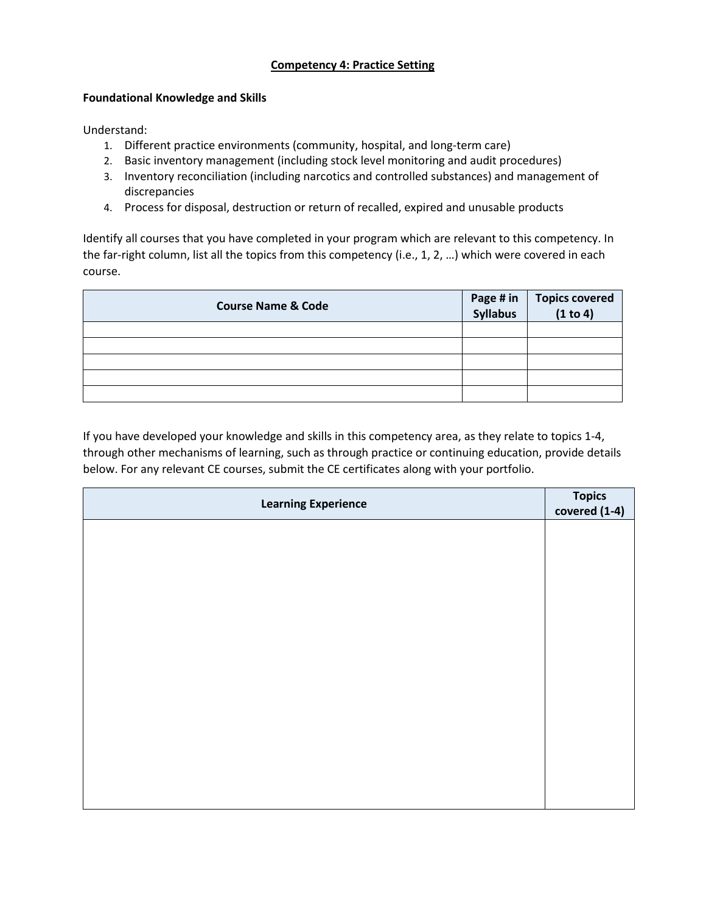# **Competency 4: Practice Setting**

#### **Foundational Knowledge and Skills**

Understand:

- 1. Different practice environments (community, hospital, and long-term care)
- 2. Basic inventory management (including stock level monitoring and audit procedures)
- 3. Inventory reconciliation (including narcotics and controlled substances) and management of discrepancies
- 4. Process for disposal, destruction or return of recalled, expired and unusable products

Identify all courses that you have completed in your program which are relevant to this competency. In the far-right column, list all the topics from this competency (i.e., 1, 2, …) which were covered in each course.

| <b>Course Name &amp; Code</b> | Page # in | Topics covered<br>(1 to 4) |
|-------------------------------|-----------|----------------------------|
|                               |           |                            |
|                               |           |                            |
|                               |           |                            |
|                               |           |                            |
|                               |           |                            |

| <b>Learning Experience</b> | Topics<br>covered (1-4) |
|----------------------------|-------------------------|
|                            |                         |
|                            |                         |
|                            |                         |
|                            |                         |
|                            |                         |
|                            |                         |
|                            |                         |
|                            |                         |
|                            |                         |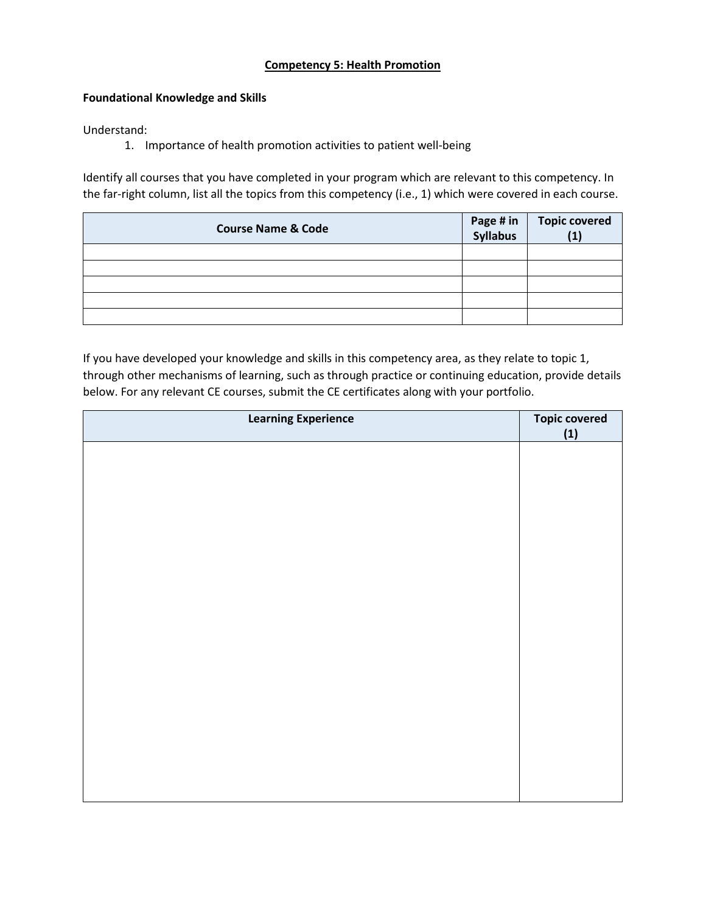#### **Competency 5: Health Promotion**

# **Foundational Knowledge and Skills**

Understand:

1. Importance of health promotion activities to patient well-being

Identify all courses that you have completed in your program which are relevant to this competency. In the far-right column, list all the topics from this competency (i.e., 1) which were covered in each course.

| <b>Course Name &amp; Code</b> | Page # in<br>Syllabus | <b>Topic covered</b> |
|-------------------------------|-----------------------|----------------------|
|                               |                       |                      |
|                               |                       |                      |
|                               |                       |                      |
|                               |                       |                      |
|                               |                       |                      |

| <b>Learning Experience</b> | <b>Topic covered</b><br>(1) |
|----------------------------|-----------------------------|
|                            |                             |
|                            |                             |
|                            |                             |
|                            |                             |
|                            |                             |
|                            |                             |
|                            |                             |
|                            |                             |
|                            |                             |
|                            |                             |
|                            |                             |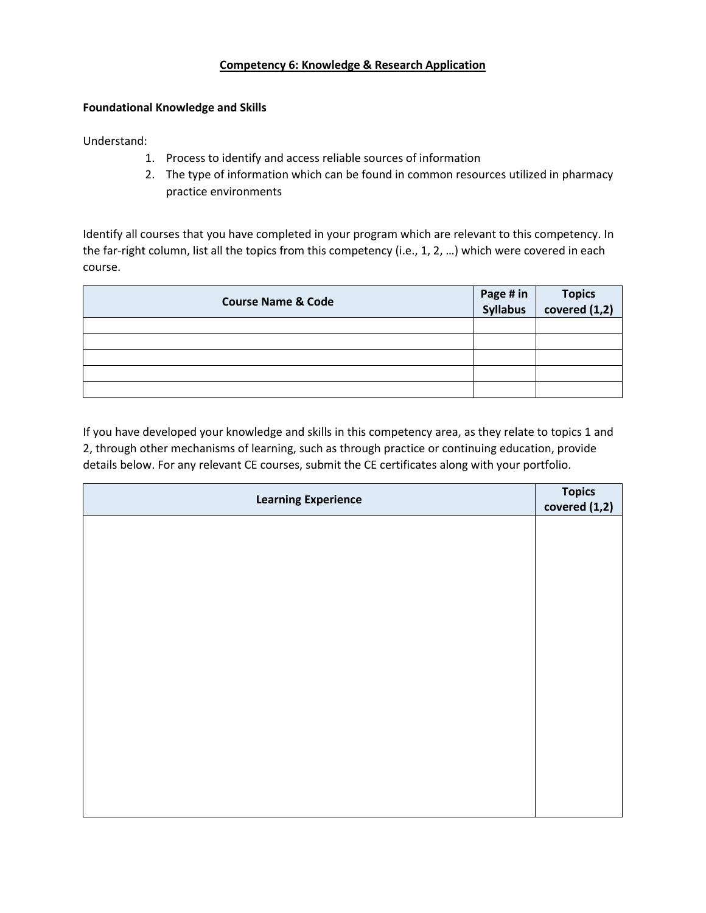# **Competency 6: Knowledge & Research Application**

#### **Foundational Knowledge and Skills**

Understand:

- 1. Process to identify and access reliable sources of information
- 2. The type of information which can be found in common resources utilized in pharmacy practice environments

Identify all courses that you have completed in your program which are relevant to this competency. In the far-right column, list all the topics from this competency (i.e., 1, 2, …) which were covered in each course.

| <b>Course Name &amp; Code</b> | Page # in Topics<br>Syllabus covered (1,2) |
|-------------------------------|--------------------------------------------|
|                               |                                            |
|                               |                                            |
|                               |                                            |
|                               |                                            |
|                               |                                            |

| <b>Learning Experience</b> | <b>Topics</b><br>covered $(1,2)$ |
|----------------------------|----------------------------------|
|                            |                                  |
|                            |                                  |
|                            |                                  |
|                            |                                  |
|                            |                                  |
|                            |                                  |
|                            |                                  |
|                            |                                  |
|                            |                                  |
|                            |                                  |
|                            |                                  |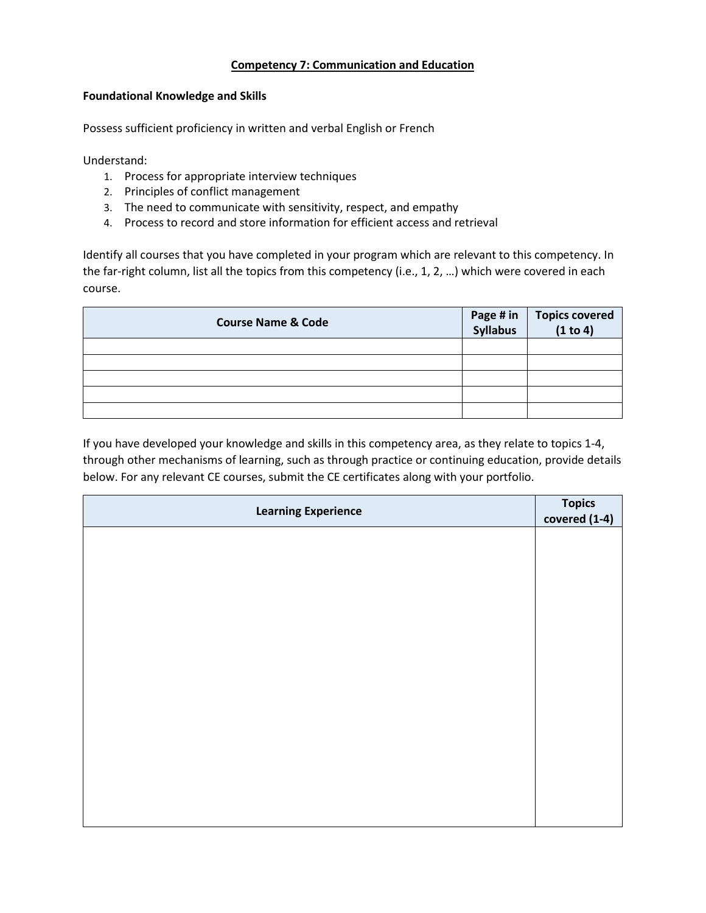# **Competency 7: Communication and Education**

#### **Foundational Knowledge and Skills**

Possess sufficient proficiency in written and verbal English or French

Understand:

- 1. Process for appropriate interview techniques
- 2. Principles of conflict management
- 3. The need to communicate with sensitivity, respect, and empathy
- 4. Process to record and store information for efficient access and retrieval

Identify all courses that you have completed in your program which are relevant to this competency. In the far-right column, list all the topics from this competency (i.e., 1, 2, …) which were covered in each course.

| <b>Course Name &amp; Code</b> | Page # in<br>Syllabus | Topics covered<br>(1 to 4) |
|-------------------------------|-----------------------|----------------------------|
|                               |                       |                            |
|                               |                       |                            |
|                               |                       |                            |
|                               |                       |                            |
|                               |                       |                            |

| <b>Learning Experience</b> | Topics<br>covered (1-4) |
|----------------------------|-------------------------|
|                            |                         |
|                            |                         |
|                            |                         |
|                            |                         |
|                            |                         |
|                            |                         |
|                            |                         |
|                            |                         |
|                            |                         |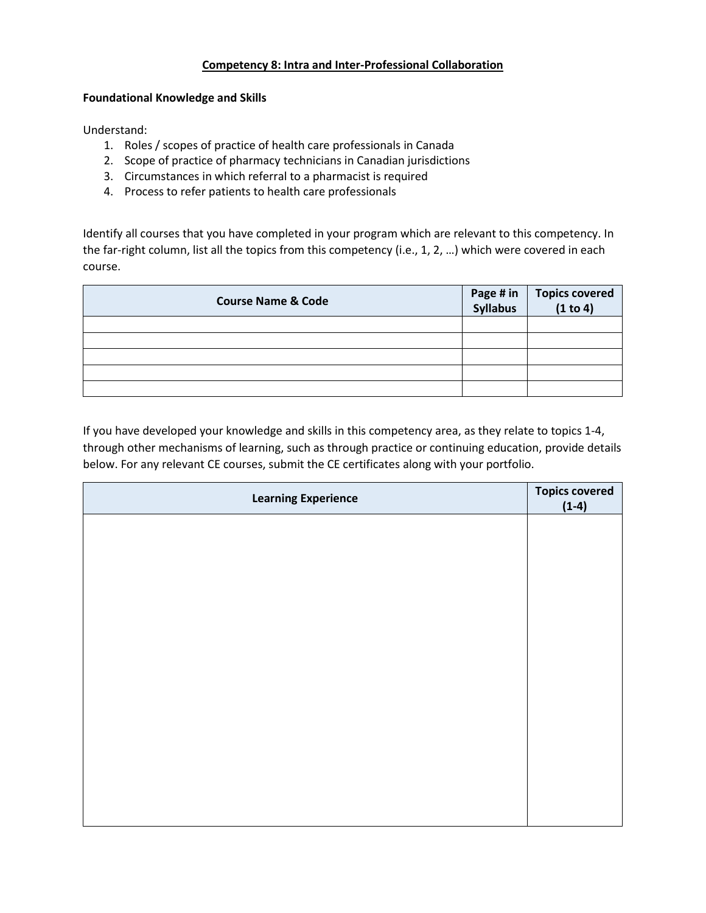# **Competency 8: Intra and Inter-Professional Collaboration**

#### **Foundational Knowledge and Skills**

Understand:

- 1. Roles / scopes of practice of health care professionals in Canada
- 2. Scope of practice of pharmacy technicians in Canadian jurisdictions
- 3. Circumstances in which referral to a pharmacist is required
- 4. Process to refer patients to health care professionals

Identify all courses that you have completed in your program which are relevant to this competency. In the far-right column, list all the topics from this competency (i.e., 1, 2, …) which were covered in each course.

| <b>Course Name &amp; Code</b> | Page # in<br>Syllabus | Topics covered<br>(1 to 4) |
|-------------------------------|-----------------------|----------------------------|
|                               |                       |                            |
|                               |                       |                            |
|                               |                       |                            |
|                               |                       |                            |
|                               |                       |                            |

| <b>Learning Experience</b> | <b>Topics covered</b> |
|----------------------------|-----------------------|
|                            | $(1-4)$               |
|                            |                       |
|                            |                       |
|                            |                       |
|                            |                       |
|                            |                       |
|                            |                       |
|                            |                       |
|                            |                       |
|                            |                       |
|                            |                       |
|                            |                       |
|                            |                       |
|                            |                       |
|                            |                       |
|                            |                       |
|                            |                       |